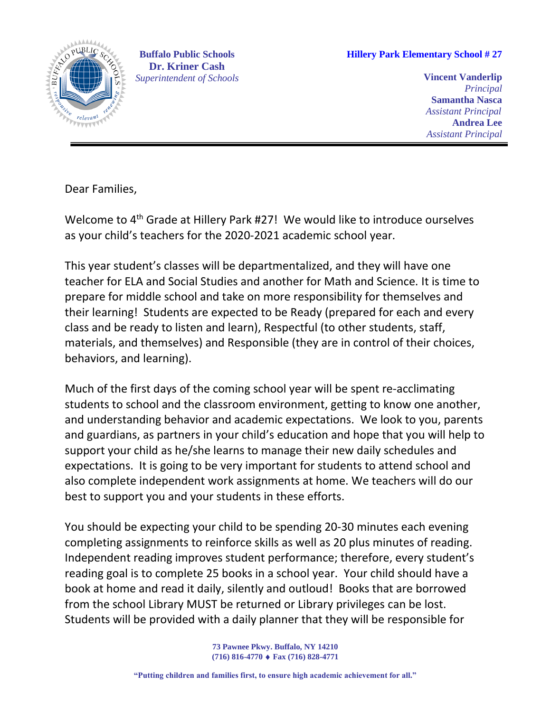

**Buffalo Public Schools Dr. Kriner Cash**  *Superintendent of Schools*

**Hillery Park Elementary School # 27**

**Vincent Vanderlip** *Principal* **Samantha Nasca**  *Assistant Principal* **Andrea Lee**  *Assistant Principal*

Dear Families,

Welcome to 4<sup>th</sup> Grade at Hillery Park #27! We would like to introduce ourselves as your child's teachers for the 2020-2021 academic school year.

This year student's classes will be departmentalized, and they will have one teacher for ELA and Social Studies and another for Math and Science. It is time to prepare for middle school and take on more responsibility for themselves and their learning! Students are expected to be Ready (prepared for each and every class and be ready to listen and learn), Respectful (to other students, staff, materials, and themselves) and Responsible (they are in control of their choices, behaviors, and learning).

Much of the first days of the coming school year will be spent re-acclimating students to school and the classroom environment, getting to know one another, and understanding behavior and academic expectations. We look to you, parents and guardians, as partners in your child's education and hope that you will help to support your child as he/she learns to manage their new daily schedules and expectations. It is going to be very important for students to attend school and also complete independent work assignments at home. We teachers will do our best to support you and your students in these efforts.

You should be expecting your child to be spending 20-30 minutes each evening completing assignments to reinforce skills as well as 20 plus minutes of reading. Independent reading improves student performance; therefore, every student's reading goal is to complete 25 books in a school year. Your child should have a book at home and read it daily, silently and outloud! Books that are borrowed from the school Library MUST be returned or Library privileges can be lost. Students will be provided with a daily planner that they will be responsible for

> **73 Pawnee Pkwy. Buffalo, NY 14210 (716) 816-4770 Fax (716) 828-4771**